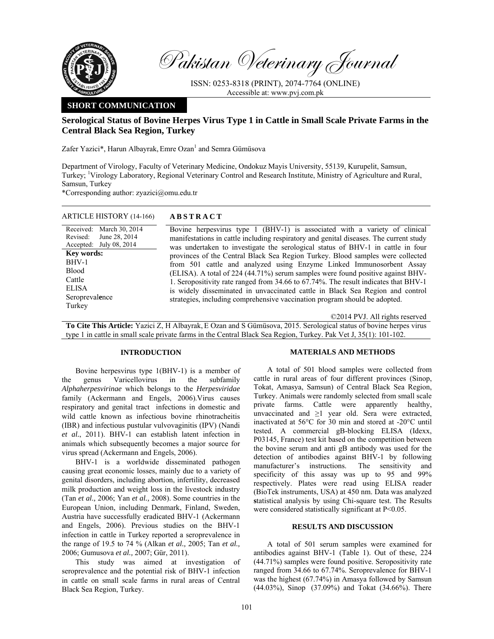

Pakistan Veterinary Journal

ISSN: 0253-8318 (PRINT), 2074-7764 (ONLINE) Accessible at: www.pvj.com.pk

## **SHORT COMMUNICATION**

# **Serological Status of Bovine Herpes Virus Type 1 in Cattle in Small Scale Private Farms in the Central Black Sea Region, Turkey**

Zafer Yazici\*, Harun Albayrak, Emre Ozan<sup>1</sup> and Semra Gümüsova

Department of Virology, Faculty of Veterinary Medicine, Ondokuz Mayis University, 55139, Kurupelit, Samsun, Turkey; <sup>1</sup>Virology Laboratory, Regional Veterinary Control and Research Institute, Ministry of Agriculture and Rural, Samsun, Turkey

\*Corresponding author: zyazici@omu.edu.tr

| ARTICLE HISTORY (14-166)                                                                                                                                                             | <b>ABSTRACT</b>                                                                                                                                                                                                                                                                                                                                                                                                                                                                                                                                                                                                                                                                                                                                            |
|--------------------------------------------------------------------------------------------------------------------------------------------------------------------------------------|------------------------------------------------------------------------------------------------------------------------------------------------------------------------------------------------------------------------------------------------------------------------------------------------------------------------------------------------------------------------------------------------------------------------------------------------------------------------------------------------------------------------------------------------------------------------------------------------------------------------------------------------------------------------------------------------------------------------------------------------------------|
| Received: March 30, 2014<br>June 28, 2014<br>Revised:<br>Accepted: July 08, 2014<br><b>Key words:</b><br>BHV-1<br><b>Blood</b><br>Cattle<br><b>ELISA</b><br>Seroprevalence<br>Turkey | Bovine herpesvirus type 1 (BHV-1) is associated with a variety of clinical<br>manifestations in cattle including respiratory and genital diseases. The current study<br>was undertaken to investigate the serological status of BHV-1 in cattle in four<br>provinces of the Central Black Sea Region Turkey. Blood samples were collected<br>from 501 cattle and analyzed using Enzyme Linked Immunosorbent Assay<br>(ELISA). A total of 224 (44.71%) serum samples were found positive against BHV-<br>1. Seropositivity rate ranged from 34.66 to 67.74%. The result indicates that BHV-1<br>is widely disseminated in unvaccinated cattle in Black Sea Region and control<br>strategies, including comprehensive vaccination program should be adopted. |
|                                                                                                                                                                                      | ©2014 PVJ. All rights reserved                                                                                                                                                                                                                                                                                                                                                                                                                                                                                                                                                                                                                                                                                                                             |

**To Cite This Article:** Yazici Z, H Albayrak, E Ozan and S Gümüsova, 2015. Serological status of bovine herpes virus type 1 in cattle in small scale private farms in the Central Black Sea Region, Turkey. Pak Vet J, 35(1): 101-102.

#### **INTRODUCTION**

Bovine herpesvirus type 1(BHV-1) is a member of the genus Varicellovirus in the subfamily *Alphaherpesvirinae* which belongs to the *Herpesviridae*  family (Ackermann and Engels, 2006).Virus causes respiratory and genital tract infections in domestic and wild cattle known as infectious bovine rhinotracheitis (IBR) and infectious pustular vulvovaginitis (IPV) (Nandi *et al.*, 2011). BHV-1 can establish latent infection in animals which subsequently becomes a major source for virus spread (Ackermann and Engels, 2006).

BHV-1 is a worldwide disseminated pathogen causing great economic losses, mainly due to a variety of genital disorders, including abortion, infertility, decreased milk production and weight loss in the livestock industry (Tan *et al.,* 2006; Yan *et al.,* 2008). Some countries in the European Union, including Denmark, Finland, Sweden, Austria have successfully eradicated BHV-1 (Ackermann and Engels, 2006). Previous studies on the BHV-1 infection in cattle in Turkey reported a seroprevalence in the range of 19.5 to 74 % (Alkan *et al.,* 2005; Tan *et al.,* 2006; Gumusova *et al.,* 2007; Gür, 2011).

This study was aimed at investigation of seroprevalence and the potential risk of BHV-1 infection in cattle on small scale farms in rural areas of Central Black Sea Region, Turkey.

#### **MATERIALS AND METHODS**

A total of 501 blood samples were collected from cattle in rural areas of four different provinces (Sinop, Tokat, Amasya, Samsun) of Central Black Sea Region, Turkey. Animals were randomly selected from small scale private farms. Cattle were apparently healthy, unvaccinated and  $\geq 1$  year old. Sera were extracted, inactivated at 56°C for 30 min and stored at -20°C until tested. A commercial gB-blocking ELISA (Idexx, P03145, France) test kit based on the competition between the bovine serum and anti gB antibody was used for the detection of antibodies against BHV-1 by following manufacturer's instructions. The sensitivity and specificity of this assay was up to 95 and 99% respectively. Plates were read using ELISA reader (BioTek instruments, USA) at 450 nm. Data was analyzed **s**tatistical analysis by using Chi-square test. The Results were considered statistically significant at  $P<0.05$ .

### **RESULTS AND DISCUSSION**

A total of 501 serum samples were examined for antibodies against BHV-1 (Table 1). Out of these, 224 (44.71%) samples were found positive. Seropositivity rate ranged from 34.66 to 67.74%. Seroprevalence for BHV-1 was the highest (67.74%) in Amasya followed by Samsun (44.03%), Sinop (37.09%) and Tokat (34.66%). There